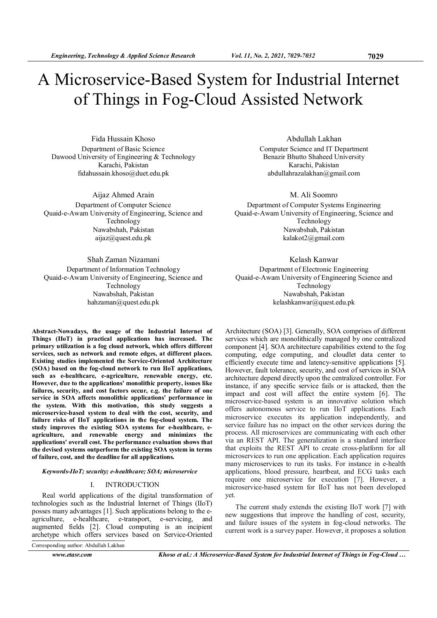# A Microservice-Based System for Industrial Internet of Things in Fog-Cloud Assisted Network

Fida Hussain Khoso Department of Basic Science Dawood University of Engineering & Technology Karachi, Pakistan fidahussain.khoso@duet.edu.pk

Aijaz Ahmed Arain Department of Computer Science Quaid-e-Awam University of Engineering, Science and Technology Nawabshah, Pakistan aijaz@quest.edu.pk

# Shah Zaman Nizamani

Department of Information Technology Quaid-e-Awam University of Engineering, Science and Technology Nawabshah, Pakistan hahzaman@quest.edu.pk

Abdullah Lakhan Computer Science and IT Department Benazir Bhutto Shaheed University Karachi, Pakistan abdullahrazalakhan@gmail.com

# M. Ali Soomro

Department of Computer Systems Engineering Quaid-e-Awam University of Engineering, Science and Technology Nawabshah, Pakistan kalakot2@gmail.com

# Kelash Kanwar

Department of Electronic Engineering Quaid-e-Awam University of Engineering Science and Technology Nawabshah, Pakistan kelashkanwar@quest.edu.pk

Architecture (SOA) [3]. Generally, SOA comprises of different services which are monolithically managed by one centralized component [4]. SOA architecture capabilities extend to the fog computing, edge computing, and cloudlet data center to efficiently execute time and latency-sensitive applications [5]. However, fault tolerance, security, and cost of services in SOA architecture depend directly upon the centralized controller. For instance, if any specific service fails or is attacked, then the impact and cost will affect the entire system [6]. The microservice-based system is an innovative solution which

Abstract-Nowadays, the usage of the Industrial Internet of Things (IIoT) in practical applications has increased. The primary utilization is a fog cloud network, which offers different services, such as network and remote edges, at different places. Existing studies implemented the Service-Oriented Architecture (SOA) based on the fog-cloud network to run IIoT applications, such as e-healthcare, e-agriculture, renewable energy, etc. However, due to the applications' monolithic property, issues like failures, security, and cost factors occur, e.g. the failure of one service in SOA affects monolithic applications' performance in the system. With this motivation, this study suggests a microservice-based system to deal with the cost, security, and failure risks of IIoT applications in the fog-cloud system. The study improves the existing SOA systems for e-healthcare, eagriculture, and renewable energy and minimizes the applications' overall cost. The performance evaluation shows that the devised systems outperform the existing SOA system in terms of failure, cost, and the deadline for all applications.

# Keywords-IIoT; security; e-healthcare; SOA; microservice

# I. INTRODUCTION

Real world applications of the digital transformation of technologies such as the Industrial Internet of Things (IIoT) posses many advantages [1]. Such applications belong to the eagriculture, e-healthcare, e-transport, e-servicing, and augmented fields [2]. Cloud computing is an incipient archetype which offers services based on Service-Oriented

Corresponding author: Abdullah Lakhan

offers autonomous service to run IIoT applications. Each microservice executes its application independently, and service failure has no impact on the other services during the process. All microservices are communicating with each other via an REST API. The generalization is a standard interface that exploits the REST API to create cross-platform for all microservices to run one application. Each application requires many microservices to run its tasks. For instance in e-health applications, blood pressure, heartbeat, and ECG tasks each require one microservice for execution [7]. However, a microservice-based system for IIoT has not been developed yet. The current study extends the existing IIoT work [7] with

new suggestions that improve the handling of cost, security, and failure issues of the system in fog-cloud networks. The current work is a survey paper. However, it proposes a solution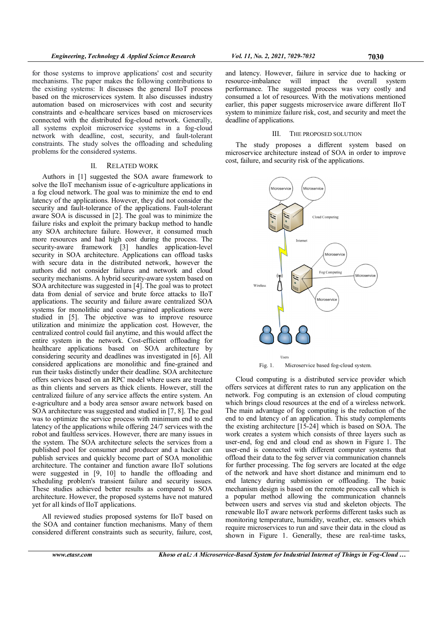for those systems to improve applications' cost and security mechanisms. The paper makes the following contributions to the existing systems: It discusses the general IIoT process based on the microservices system. It also discusses industry automation based on microservices with cost and security constraints and e-healthcare services based on microservices connected with the distributed fog-cloud network. Generally, all systems exploit microservice systems in a fog-cloud network with deadline, cost, security, and fault-tolerant constraints. The study solves the offloading and scheduling problems for the considered systems.

#### II. RELATED WORK

Authors in [1] suggested the SOA aware framework to solve the IIoT mechanism issue of e-agriculture applications in a fog cloud network. The goal was to minimize the end to end latency of the applications. However, they did not consider the security and fault-tolerance of the applications. Fault-tolerant aware SOA is discussed in [2]. The goal was to minimize the failure risks and exploit the primary backup method to handle any SOA architecture failure. However, it consumed much more resources and had high cost during the process. The security-aware framework [3] handles application-level security in SOA architecture. Applications can offload tasks with secure data in the distributed network, however the authors did not consider failures and network and cloud security mechanisms. A hybrid security-aware system based on SOA architecture was suggested in [4]. The goal was to protect data from denial of service and brute force attacks to IIoT applications. The security and failure aware centralized SOA systems for monolithic and coarse-grained applications were studied in [5]. The objective was to improve resource utilization and minimize the application cost. However, the centralized control could fail anytime, and this would affect the entire system in the network. Cost-efficient offloading for healthcare applications based on SOA architecture by considering security and deadlines was investigated in [6]. All considered applications are monolithic and fine-grained and run their tasks distinctly under their deadline. SOA architecture offers services based on an RPC model where users are treated as thin clients and servers as thick clients. However, still the centralized failure of any service affects the entire system. An e-agriculture and a body area sensor aware network based on SOA architecture was suggested and studied in [7, 8]. The goal was to optimize the service process with minimum end to end latency of the applications while offering 24/7 services with the robot and faultless services. However, there are many issues in the system. The SOA architecture selects the services from a published pool for consumer and producer and a hacker can publish services and quickly become part of SOA monolithic architecture. The container and function aware IIoT solutions were suggested in [9, 10] to handle the offloading and scheduling problem's transient failure and security issues. These studies achieved better results as compared to SOA architecture. However, the proposed systems have not matured yet for all kinds of IIoT applications.

All reviewed studies proposed systems for IIoT based on the SOA and container function mechanisms. Many of them considered different constraints such as security, failure, cost,

and latency. However, failure in service due to hacking or resource-imbalance will impact the overall system performance. The suggested process was very costly and consumed a lot of resources. With the motivations mentioned earlier, this paper suggests microservice aware different IIoT system to minimize failure risk, cost, and security and meet the deadline of applications.

# III. THE PROPOSED SOLUTION

The study proposes a different system based on microservice architecture instead of SOA in order to improve cost, failure, and security risk of the applications.



Fig. 1. Microservice based fog-cloud system.

Cloud computing is a distributed service provider which offers services at different rates to run any application on the network. Fog computing is an extension of cloud computing which brings cloud resources at the end of a wireless network. The main advantage of fog computing is the reduction of the end to end latency of an application. This study complements the existing architecture [15-24] which is based on SOA. The work creates a system which consists of three layers such as user-end, fog end and cloud end as shown in Figure 1. The user-end is connected with different computer systems that offload their data to the fog server via communication channels for further processing. The fog servers are located at the edge of the network and have short distance and minimum end to end latency during submission or offloading. The basic mechanism design is based on the remote process call which is a popular method allowing the communication channels between users and serves via stud and skeleton objects. The renewable IIoT aware network performs different tasks such as monitoring temperature, humidity, weather, etc. sensors which require microservices to run and save their data in the cloud as shown in Figure 1. Generally, these are real-time tasks,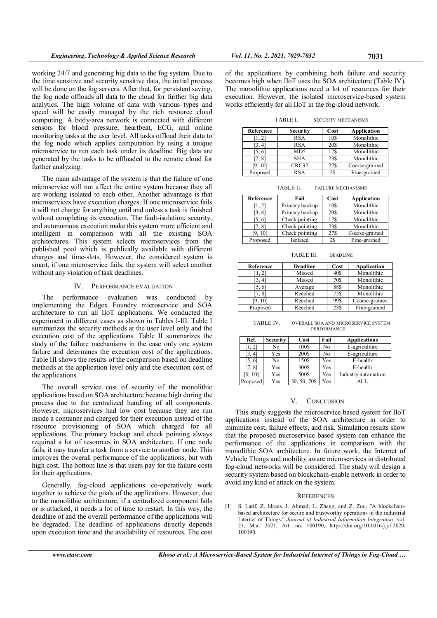working 24/7 and generating big data to the fog system. Due to the time sensitive and security sensitive data, the initial process will be done on the fog servers. After that, for persistent saving, the fog node offloads all data to the cloud for further big data analytics. The high volume of data with various types and speed will be easily managed by the rich resource cloud computing. A body-area network is connected with different sensors for blood pressure, heartbeat, ECG, and online monitoring tasks at the user level. All tasks offload their data to the fog node which applies computation by using a unique microservice to run each task under its deadline. Big data are generated by the tasks to be offloaded to the remote cloud for further analyzing.

The main advantage of the system is that the failure of one microservice will not affect the entire system because they all are working isolated to each other. Another advantage is that microservices have execution charges. If one microservice fails it will not charge for anything until and unless a task is finished without completing its execution. The fault-isolation, security, and autonomous execution make this system more efficient and intelligent in comparison with all the existing SOA architectures. This system selects microservices from the published pool which is publically available with different charges and time-slots. However, the considered system is smart, if one microservice fails, the system will select another without any violation of task deadlines.

#### IV. PERFORMANCE EVALUATION

The performance evaluation was conducted by implementing the Edgex Foundry microservice and SOA architecture to run all IIoT applications. We conducted the experiment in different cases as shown in Tables I-III. Table I summarizes the security methods at the user level only and the execution cost of the applications. Table II summarizes the study of the failure mechanisms in the case only one system failure and determines the execution cost of the applications. Table III shows the results of the comparison based on deadline methods at the application level only and the execution cost of the applications.

The overall service cost of security of the monolithic applications based on SOA architecture became high during the process due to the centralized handling of all components. However, microservices had low cost because they are run inside a container and charged for their execution instead of the resource provisioning of SOA which charged for all applications. The primary backup and check pointing always required a lot of resources in SOA architecture. If one node fails, it may transfer a task from a service to another node. This improves the overall performance of the applications, but with high cost. The bottom line is that users pay for the failure costs for their applications.

Generally, fog-cloud applications co-operatively work together to achieve the goals of the applications. However, due to the monolithic architecture, if a centralized component fails or is attacked, it needs a lot of time to restart. In this way, the deadline of and the overall performance of the applications will be degraded. The deadline of applications directly depends upon execution time and the availability of resources. The cost

of the applications by combining both failure and security becomes high when IIoT uses the SOA architecture (Table IV). The monolithic applications need a lot of resources for their execution. However, the isolated microservice-based system works efficiently for all IIoT in the fog-cloud network.

TABLE I. SECURITY MECHANISMS

| Reference          | <b>Security</b> | Cost | Application    |
|--------------------|-----------------|------|----------------|
|                    | <b>RSA</b>      | 10\$ | Monolithic     |
| $\left[3,4\right]$ | <b>RSA</b>      | 20\$ | Monolithic     |
| [5, 6]             | MD <sub>5</sub> | 17\$ | Monolithic     |
| 7.81               | <b>SHA</b>      | 23\$ | Monolithic     |
| T9. 101            | CRC32           | 27\$ | Coarse-grained |
| Proposed           | <b>RSA</b>      | 2\$  | Fine-grained   |

TABLE II. FAILURE MECHANISMS

| Reference          | Fail           | Cost | Application    |
|--------------------|----------------|------|----------------|
| $\left[1,2\right]$ | Primary backup | 10\$ | Monolithic     |
| [3, 4]             | Primary backup | 20\$ | Monolithic     |
| [5,6]              | Check pointing | 17\$ | Monolithic     |
| T7. 81             | Check pointing | 23\$ | Monolithic     |
| F9. 101            | Check pointing | 27\$ | Coarse-grained |
| Proposed           | Isolated       | 2\$  | Fine-grained   |

TABLE III. DEADLINE

| Reference | Deadline | Cost | Application    |
|-----------|----------|------|----------------|
| [1, 2]    | Missed   | 40\$ | Monolithic     |
| [3, 4]    | Missed   | 70\$ | Monolithic     |
| [5, 6]    | Average  | 88\$ | Monolithic     |
| [7,8]     | Reached  | 75\$ | Monolithic     |
| [9, 10]   | Reached  | 99\$ | Coarse-grained |
| Proposed  | Reached  | 23\$ | Fine-grained   |

TABLE IV. OVERALL SOA AND MICROSERVICE SYSTEM **PERFORMANCE** 

| Ref.                | <b>Security</b> | Cost         | Fail | <b>Applications</b> |
|---------------------|-----------------|--------------|------|---------------------|
| [1, 2]              | No              | 100\$        | No   | E-agriculture       |
| $\left[3, 4\right]$ | Yes             | 200\$        | No   | E-agriculture       |
| 5.61                | No              | 150\$        | Yes  | E-health            |
| 7, 8                | Yes             | 300\$        | Yes  | E-health            |
| 101                 | Yes             | 500\$        | Yes  | Industry automation |
| Proposed            | Yes             | 30, 50, 70\$ | Yes  |                     |

#### V. CONCLUSION

This study suggests the microservice based system for IIoT applications instead of the SOA architecture in order to minimize cost, failure effects, and risk. Simulation results show that the proposed microservice based system can enhance the performance of the applications in comparison with the monolithic SOA architecture. In future work, the Internet of Vehicle Things and mobility aware microservices in distributed fog-cloud networks will be considered. The study will design a security system based on blockchain-enable network in order to avoid any kind of attack on the system.

#### **REFERENCES**

[1] S. Latif, Z. Idrees, J. Ahmad, L. Zheng, and Z. Zou, "A blockchainbased architecture for secure and trustworthy operations in the industrial Internet of Things," Journal of Industrial Information Integration, vol. 21, Mar. 2021, Art. no. 100190, https://doi.org/10.1016/j.jii.2020. 100190.